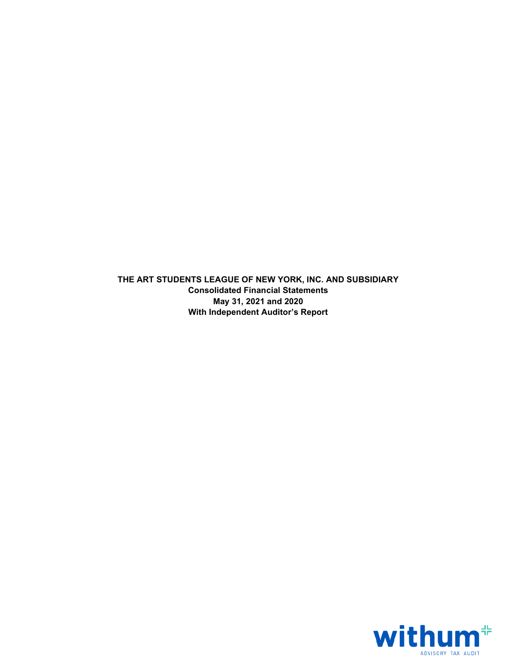THE ART STUDENTS LEAGUE OF NEW YORK, INC. AND SUBSIDIARY Consolidated Financial Statements May 31, 2021 and 2020 With Independent Auditor's Report

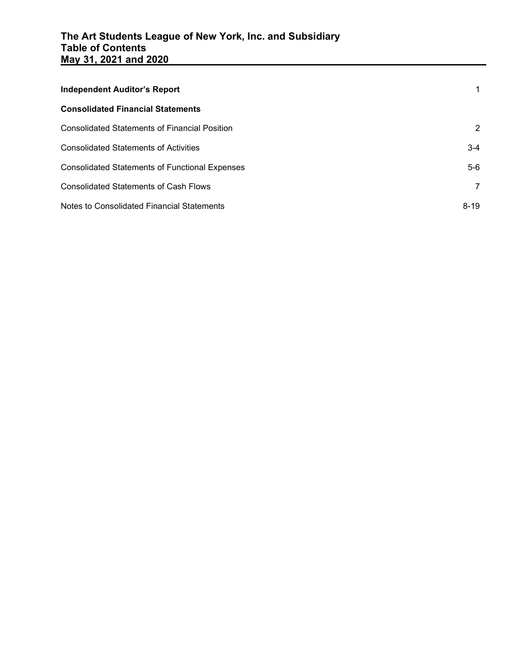| <b>Independent Auditor's Report</b>                   |                |
|-------------------------------------------------------|----------------|
| <b>Consolidated Financial Statements</b>              |                |
| <b>Consolidated Statements of Financial Position</b>  | 2              |
| <b>Consolidated Statements of Activities</b>          | $3-4$          |
| <b>Consolidated Statements of Functional Expenses</b> | 5-6            |
| <b>Consolidated Statements of Cash Flows</b>          | $\overline{7}$ |
| Notes to Consolidated Financial Statements            | $8 - 19$       |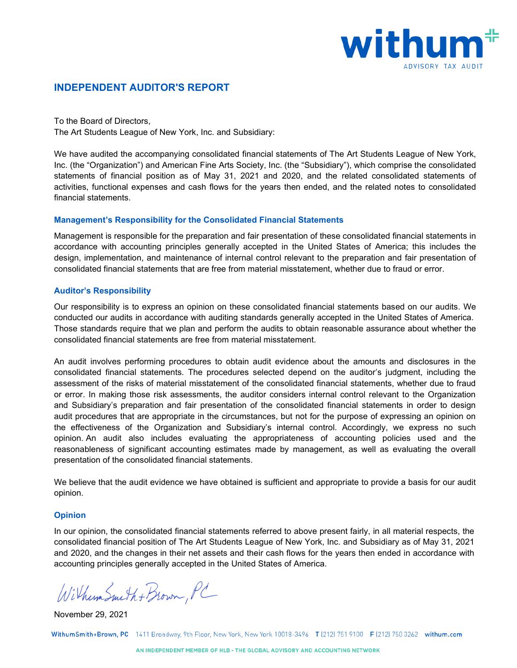

# INDEPENDENT AUDITOR'S REPORT

To the Board of Directors, The Art Students League of New York, Inc. and Subsidiary:

We have audited the accompanying consolidated financial statements of The Art Students League of New York, Inc. (the "Organization") and American Fine Arts Society, Inc. (the "Subsidiary"), which comprise the consolidated statements of financial position as of May 31, 2021 and 2020, and the related consolidated statements of activities, functional expenses and cash flows for the years then ended, and the related notes to consolidated financial statements.

#### Management's Responsibility for the Consolidated Financial Statements

Management is responsible for the preparation and fair presentation of these consolidated financial statements in accordance with accounting principles generally accepted in the United States of America; this includes the design, implementation, and maintenance of internal control relevant to the preparation and fair presentation of consolidated financial statements that are free from material misstatement, whether due to fraud or error.

### Auditor's Responsibility

Our responsibility is to express an opinion on these consolidated financial statements based on our audits. We conducted our audits in accordance with auditing standards generally accepted in the United States of America. Those standards require that we plan and perform the audits to obtain reasonable assurance about whether the consolidated financial statements are free from material misstatement.

An audit involves performing procedures to obtain audit evidence about the amounts and disclosures in the consolidated financial statements. The procedures selected depend on the auditor's judgment, including the assessment of the risks of material misstatement of the consolidated financial statements, whether due to fraud or error. In making those risk assessments, the auditor considers internal control relevant to the Organization and Subsidiary's preparation and fair presentation of the consolidated financial statements in order to design audit procedures that are appropriate in the circumstances, but not for the purpose of expressing an opinion on the effectiveness of the Organization and Subsidiary's internal control. Accordingly, we express no such opinion. An audit also includes evaluating the appropriateness of accounting policies used and the reasonableness of significant accounting estimates made by management, as well as evaluating the overall presentation of the consolidated financial statements.

We believe that the audit evidence we have obtained is sufficient and appropriate to provide a basis for our audit opinion.

#### Opinion

In our opinion, the consolidated financial statements referred to above present fairly, in all material respects, the consolidated financial position of The Art Students League of New York, Inc. and Subsidiary as of May 31, 2021 and 2020, and the changes in their net assets and their cash flows for the years then ended in accordance with accounting principles generally accepted in the United States of America.

Wilhum Smith + Brown, PC

November 29, 2021

WithumSmith+Brown, PC 1411 Broadway, 9th Floor, New York, New York 10018-3496 T (212) 751 9100 F (212) 750 3262 withum.com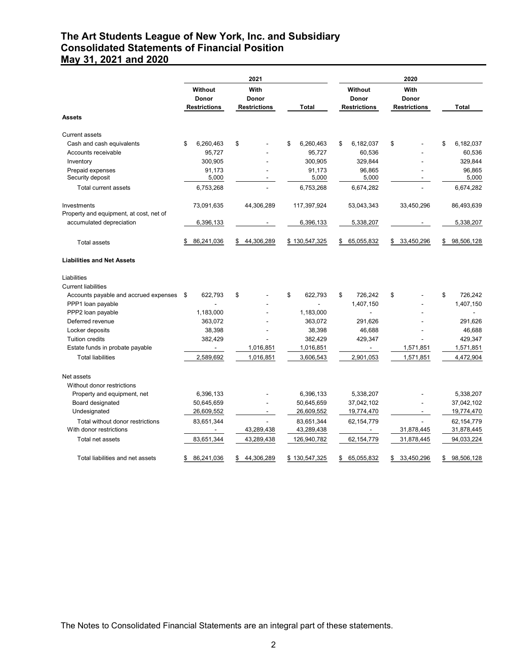# The Art Students League of New York, Inc. and Subsidiary Consolidated Statements of Financial Position May 31, 2021 and 2020

|                                                               |                                         |                                              | <b>Consolidated Statements of Financial Position</b> |                                         |                                                            |                            |
|---------------------------------------------------------------|-----------------------------------------|----------------------------------------------|------------------------------------------------------|-----------------------------------------|------------------------------------------------------------|----------------------------|
|                                                               | Without<br>Donor<br><b>Restrictions</b> | 2021<br>With<br>Donor<br><b>Restrictions</b> | Total                                                | Without<br>Donor<br><b>Restrictions</b> | 2020<br>With<br>Donor<br><b>Restrictions</b>               | Total                      |
| <b>Assets</b>                                                 |                                         |                                              |                                                      |                                         |                                                            |                            |
|                                                               |                                         |                                              |                                                      |                                         |                                                            |                            |
| Current assets<br>Cash and cash equivalents                   | 6,260,463<br>\$                         | \$                                           | 6,260,463<br>\$                                      | 6,182,037<br>\$                         | \$                                                         | \$<br>6,182,037            |
| Accounts receivable                                           | 95,727                                  |                                              | 95,727                                               | 60,536                                  |                                                            | 60,536                     |
| Inventory                                                     | 300,905                                 | $\overline{\phantom{a}}$                     | 300,905                                              | 329,844                                 | $\overline{a}$                                             | 329,844                    |
| Prepaid expenses                                              | 91,173                                  | ÷,                                           | 91,173                                               | 96,865                                  | $\overline{a}$                                             | 96,865                     |
| Security deposit                                              | 5,000                                   | $\overline{\phantom{a}}$                     | 5,000                                                | 5,000                                   |                                                            | 5,000                      |
| Total current assets                                          | 6,753,268                               | $\overline{\phantom{a}}$                     | 6,753,268                                            | 6,674,282                               | $\blacksquare$                                             | 6,674,282                  |
| Investments<br>Property and equipment, at cost, net of        | 73,091,635                              | 44,306,289                                   | 117,397,924                                          | 53,043,343                              | 33,450,296                                                 | 86,493,639                 |
| accumulated depreciation                                      | 6,396,133                               | $\sim$                                       | 6,396,133                                            | 5,338,207                               | $\overline{\phantom{a}}$                                   | 5,338,207                  |
| Total assets                                                  | \$86,241,036                            | \$44,306,289                                 | \$130,547,325                                        | \$65,055,832                            | \$ 33,450,296                                              | \$98,506,128               |
| <b>Liabilities and Net Assets</b>                             |                                         |                                              |                                                      |                                         |                                                            |                            |
| Liabilities                                                   |                                         |                                              |                                                      |                                         |                                                            |                            |
| <b>Current liabilities</b>                                    |                                         |                                              |                                                      |                                         |                                                            |                            |
| Accounts payable and accrued expenses \$<br>PPP1 loan payable | 622,793                                 | \$<br>$\blacksquare$                         | 622,793<br>\$<br>$\blacksquare$                      | 726,242<br>\$<br>1,407,150              | \$<br>$\overline{\phantom{a}}$<br>$\overline{\phantom{a}}$ | \$<br>726,242<br>1,407,150 |
| PPP2 loan payable                                             | 1,183,000                               | $\blacksquare$                               | 1,183,000                                            |                                         | $\blacksquare$                                             | $\sim$                     |
| Deferred revenue                                              | 363,072                                 | $\overline{\phantom{a}}$                     | 363,072                                              | 291,626                                 | $\blacksquare$                                             | 291,626                    |
| Locker deposits                                               | 38,398                                  | $\overline{\phantom{a}}$                     | 38,398                                               | 46,688                                  | $\overline{\phantom{a}}$                                   | 46,688                     |
| Tuition credits                                               | 382,429                                 | $\overline{\phantom{a}}$                     | 382,429                                              | 429,347                                 | $\blacksquare$                                             | 429,347                    |
| Estate funds in probate payable                               | $\sim$                                  | 1,016,851                                    | 1,016,851                                            | $\sim$                                  | 1,571,851                                                  | 1,571,851                  |
| <b>Total liabilities</b>                                      | 2,589,692                               | 1,016,851                                    | 3,606,543                                            | 2,901,053                               | 1,571,851                                                  | 4,472,904                  |
| Net assets                                                    |                                         |                                              |                                                      |                                         |                                                            |                            |
| Without donor restrictions                                    |                                         |                                              |                                                      |                                         |                                                            |                            |
| Property and equipment, net                                   | 6,396,133                               | $\blacksquare$                               | 6,396,133                                            | 5,338,207                               | $\blacksquare$                                             | 5,338,207                  |
| Board designated                                              | 50,645,659                              | $\overline{\phantom{a}}$                     | 50,645,659                                           | 37,042,102                              | $\overline{\phantom{a}}$                                   | 37,042,102                 |
| Undesignated                                                  | 26,609,552                              | $\sim$                                       | 26,609,552                                           | 19,774,470                              | $\sim$                                                     | 19,774,470                 |
| Total without donor restrictions                              | 83,651,344                              | $\overline{\phantom{a}}$                     | 83,651,344                                           | 62, 154, 779                            | $\overline{\phantom{a}}$                                   | 62,154,779                 |
| With donor restrictions<br>Total net assets                   | $\sim$<br>83,651,344                    | 43,289,438<br>43,289,438                     | 43,289,438<br>126,940,782                            | $\sim$                                  | 31,878,445<br>31,878,445                                   | 31,878,445                 |
|                                                               |                                         |                                              |                                                      | 62, 154, 779                            |                                                            | 94,033,224                 |
| Total liabilities and net assets                              | \$ 86,241,036                           | \$44,306,289                                 | \$130,547,325                                        | \$ 65,055,832                           | \$33,450,296                                               | \$98,506,128               |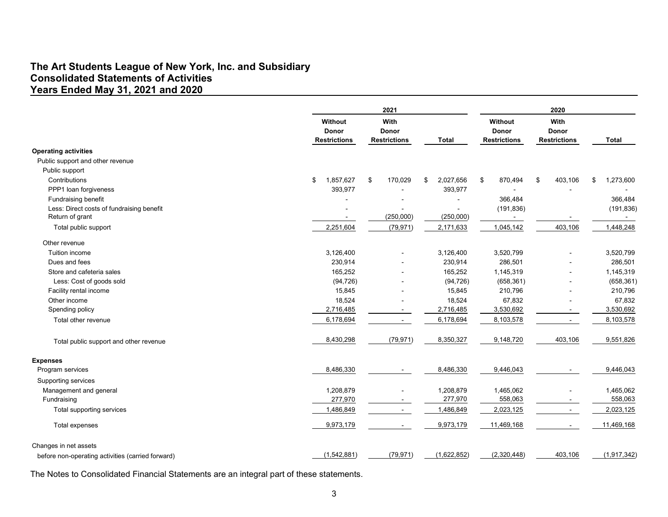## The Art Students League of New York, Inc. and Subsidiary Consolidated Statements of Activities Years Ended May 31, 2021 and 2020

| <b>Years Ended May 31, 2021 and 2020</b>                     |                                                      |                                      |                                       |                                         |                                      |                      |
|--------------------------------------------------------------|------------------------------------------------------|--------------------------------------|---------------------------------------|-----------------------------------------|--------------------------------------|----------------------|
|                                                              |                                                      | 2021                                 |                                       |                                         | 2020                                 |                      |
|                                                              | Without<br>Donor<br><b>Restrictions</b>              | With<br>Donor<br><b>Restrictions</b> | Total                                 | Without<br>Donor<br><b>Restrictions</b> | With<br>Donor<br><b>Restrictions</b> | Total                |
| <b>Operating activities</b>                                  |                                                      |                                      |                                       |                                         |                                      |                      |
| Public support and other revenue                             |                                                      |                                      |                                       |                                         |                                      |                      |
| Public support                                               |                                                      |                                      |                                       |                                         |                                      |                      |
| Contributions                                                | 1,857,627<br>\$                                      | 170,029                              | 2,027,656<br>\$                       | 870,494<br>-\$                          | - \$<br>403,106                      | 1,273,600<br>\$      |
| PPP1 loan forgiveness                                        | 393,977                                              | $\blacksquare$                       | 393,977                               | $\overline{\phantom{a}}$                |                                      |                      |
| Fundraising benefit                                          | $\overline{\phantom{a}}$                             | $\blacksquare$                       | $\overline{\phantom{a}}$              | 366,484                                 |                                      | 366,484              |
| Less: Direct costs of fundraising benefit<br>Return of grant | $\overline{\phantom{a}}$<br>$\overline{\phantom{a}}$ | $\blacksquare$<br>(250,000)          | $\overline{\phantom{a}}$<br>(250,000) | (191, 836)<br>$\overline{\phantom{a}}$  | $\blacksquare$                       | (191, 836)<br>$\sim$ |
| Total public support                                         | 2,251,604                                            | (79, 971)                            | 2,171,633                             | 1,045,142                               | 403,106                              | 1,448,248            |
| Other revenue                                                |                                                      |                                      |                                       |                                         |                                      |                      |
| Tuition income                                               | 3,126,400                                            | $\blacksquare$                       | 3,126,400                             | 3,520,799                               | $\overline{\phantom{a}}$             | 3,520,799            |
| Dues and fees                                                | 230,914                                              | $\blacksquare$                       | 230,914                               | 286,501                                 | $\overline{\phantom{a}}$             | 286,501              |
| Store and cafeteria sales                                    | 165,252                                              | $\blacksquare$                       | 165,252                               | 1,145,319                               | $\overline{\phantom{a}}$             | 1,145,319            |
| Less: Cost of goods sold                                     | (94, 726)                                            | $\blacksquare$                       | (94, 726)                             | (658, 361)                              | $\blacksquare$                       | (658, 361)           |
| Facility rental income                                       | 15,845                                               | $\blacksquare$                       | 15,845                                | 210,796                                 | $\overline{\phantom{a}}$             | 210,796              |
| Other income                                                 | 18,524                                               |                                      | 18,524                                | 67,832                                  |                                      | 67,832               |
| Spending policy                                              | 2,716,485                                            | $\sim$                               | 2,716,485                             | 3,530,692                               | $\sim$                               | 3,530,692            |
| Total other revenue                                          | 6,178,694                                            | $\sim$                               | 6,178,694                             | 8,103,578                               | $\sim$                               | 8,103,578            |
| Total public support and other revenue                       | 8,430,298                                            | (79, 971)                            | 8,350,327                             | 9,148,720                               | 403,106                              | 9,551,826            |
| <b>Expenses</b>                                              |                                                      |                                      |                                       |                                         |                                      |                      |
| Program services                                             | 8,486,330                                            | $\sim$                               | 8,486,330                             | 9,446,043                               | $\sim$                               | 9,446,043            |
| Supporting services                                          |                                                      |                                      |                                       |                                         |                                      |                      |
| Management and general                                       | 1,208,879                                            | $\blacksquare$                       | 1,208,879                             | 1,465,062                               | $\blacksquare$                       | 1,465,062            |
| Fundraising                                                  | 277,970                                              | $\sim$                               | 277,970                               | 558,063                                 | $\overline{\phantom{a}}$             | 558,063              |
| Total supporting services                                    | 1,486,849                                            | $\sim$                               | 1,486,849                             | 2,023,125                               | $\sim$                               | 2,023,125            |
| Total expenses                                               | 9,973,179                                            | $\sim$                               | 9,973,179                             | 11,469,168                              | $\sim$                               | 11,469,168           |
| Changes in net assets                                        |                                                      |                                      |                                       |                                         |                                      |                      |
| before non-operating activities (carried forward)            | (1, 542, 881)                                        | (79, 971)                            | (1,622,852)                           | (2,320,448)                             | 403,106                              | (1,917,342)          |
|                                                              |                                                      |                                      |                                       |                                         |                                      |                      |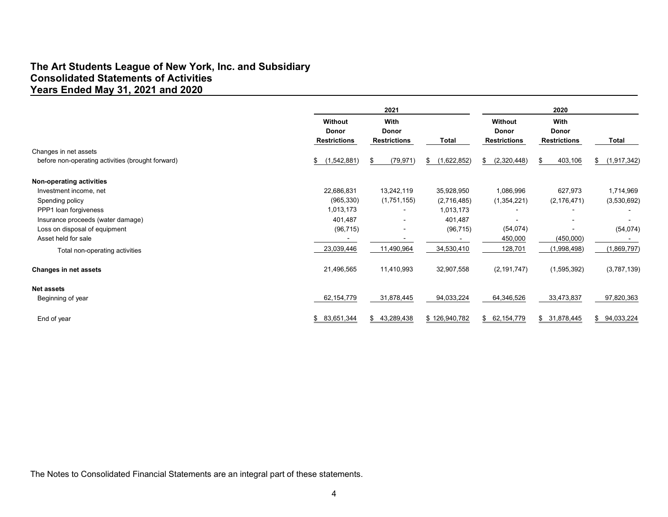# The Art Students League of New York, Inc. and Subsidiary Consolidated Statements of Activities Years Ended May 31, 2021 and 2020

| The Art Students League of New York, Inc. and Subsidiary<br><b>Consolidated Statements of Activities</b><br><b>Years Ended May 31, 2021 and 2020</b> |                     |                     |               |                          |                          |                          |
|------------------------------------------------------------------------------------------------------------------------------------------------------|---------------------|---------------------|---------------|--------------------------|--------------------------|--------------------------|
|                                                                                                                                                      |                     |                     |               |                          |                          |                          |
|                                                                                                                                                      |                     |                     |               |                          |                          |                          |
|                                                                                                                                                      |                     |                     |               |                          |                          |                          |
|                                                                                                                                                      |                     |                     |               |                          |                          |                          |
|                                                                                                                                                      |                     |                     |               |                          |                          |                          |
|                                                                                                                                                      |                     |                     |               |                          |                          |                          |
|                                                                                                                                                      |                     |                     |               |                          |                          |                          |
|                                                                                                                                                      |                     | 2021                |               |                          | 2020                     |                          |
|                                                                                                                                                      | Without<br>Donor    | With<br>Donor       |               | Without<br>Donor         | With<br>Donor            |                          |
|                                                                                                                                                      | <b>Restrictions</b> | <b>Restrictions</b> | <b>Total</b>  | <b>Restrictions</b>      | <b>Restrictions</b>      | Total                    |
| Changes in net assets                                                                                                                                |                     |                     |               |                          |                          |                          |
| before non-operating activities (brought forward)                                                                                                    | \$ (1,542,881)      | (79, 971)<br>-\$    | \$(1,622,852) | \$ (2,320,448)           | 403,106<br>\$            | \$ (1,917,342)           |
| Non-operating activities                                                                                                                             |                     |                     |               |                          |                          |                          |
| Investment income, net                                                                                                                               | 22,686,831          | 13,242,119          | 35,928,950    | 1,086,996                | 627,973                  | 1,714,969                |
| Spending policy                                                                                                                                      | (965, 330)          | (1,751,155)         | (2,716,485)   | (1,354,221)              | (2, 176, 471)            | (3,530,692)              |
| PPP1 loan forgiveness                                                                                                                                | 1,013,173           | $\sim$              | 1,013,173     |                          |                          |                          |
| Insurance proceeds (water damage)                                                                                                                    | 401,487             | $\blacksquare$      | 401,487       | $\overline{\phantom{a}}$ | $\overline{\phantom{a}}$ | $\overline{\phantom{a}}$ |
| Loss on disposal of equipment                                                                                                                        | (96, 715)           |                     | (96, 715)     | (54, 074)                | $\sim$                   | (54, 074)                |
| Asset held for sale                                                                                                                                  | $\sim$              |                     | $\sim$        | 450,000                  | (450,000)                | $\sim$                   |
| Total non-operating activities                                                                                                                       | 23,039,446          | 11,490,964          | 34,530,410    | 128,701                  | (1,998,498)              | (1,869,797)              |
| Changes in net assets                                                                                                                                | 21,496,565          | 11,410,993          | 32,907,558    | (2, 191, 747)            | (1, 595, 392)            | (3,787,139)              |
|                                                                                                                                                      |                     |                     |               |                          |                          |                          |
|                                                                                                                                                      |                     |                     | 94,033,224    | 64,346,526               | 33,473,837               | 97,820,363               |
| Net assets<br>Beginning of year                                                                                                                      | 62,154,779          | 31,878,445          |               |                          |                          |                          |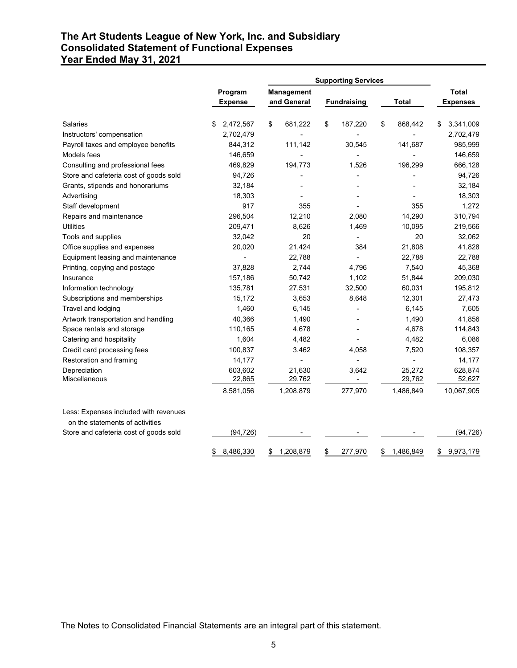# The Art Students League of New York, Inc. and Subsidiary Consolidated Statement of Functional Expenses Year Ended May 31, 2021

|                                        |                           |                           | <b>Supporting Services</b> |                          |                          |
|----------------------------------------|---------------------------|---------------------------|----------------------------|--------------------------|--------------------------|
|                                        | Program<br><b>Expense</b> | Management<br>and General | <b>Fundraising</b>         | Total                    | Total<br><b>Expenses</b> |
| Salaries                               | \$<br>2,472,567           | \$<br>681,222             | 187,220<br>S               | 868,442<br>S             | \$3,341,009              |
| Instructors' compensation              | 2,702,479                 | $\blacksquare$            |                            | ٠                        | 2,702,479                |
| Payroll taxes and employee benefits    | 844,312                   | 111,142                   | 30,545                     | 141,687                  | 985,999                  |
| Models fees                            | 146,659                   |                           |                            | $\blacksquare$           | 146,659                  |
| Consulting and professional fees       | 469,829                   | 194,773                   | 1,526                      | 196,299                  | 666,128                  |
| Store and cafeteria cost of goods sold | 94,726                    | $\overline{\phantom{a}}$  | $\overline{\phantom{0}}$   |                          | 94,726                   |
| Grants, stipends and honorariums       | 32,184                    | $\overline{\phantom{a}}$  |                            | $\overline{\phantom{a}}$ | 32,184                   |
| Advertising                            | 18,303                    | $\overline{\phantom{a}}$  |                            | ٠                        | 18,303                   |
| Staff development                      | 917                       | 355                       |                            | 355                      | 1,272                    |
| Repairs and maintenance                | 296,504                   | 12,210                    | 2,080                      | 14,290                   | 310,794                  |
| <b>Utilities</b>                       | 209,471                   | 8,626                     | 1,469                      | 10,095                   | 219,566                  |
| Tools and supplies                     | 32,042                    | 20                        | $\overline{\phantom{a}}$   | 20                       | 32,062                   |
| Office supplies and expenses           | 20,020                    | 21,424                    | 384                        | 21,808                   | 41,828                   |
| Equipment leasing and maintenance      | $\overline{\phantom{a}}$  | 22,788                    | $\sim$                     | 22,788                   | 22,788                   |
| Printing, copying and postage          | 37,828                    | 2,744                     | 4,796                      | 7,540                    | 45,368                   |
| Insurance                              | 157,186                   | 50,742                    | 1,102                      | 51,844                   | 209,030                  |
| Information technology                 | 135,781                   | 27,531                    | 32,500                     | 60,031                   | 195,812                  |
| Subscriptions and memberships          | 15,172                    | 3,653                     | 8,648                      | 12,301                   | 27,473                   |
| Travel and lodging                     | 1,460                     | 6,145                     |                            | 6,145                    | 7,605                    |
| Artwork transportation and handling    | 40,366                    | 1,490                     |                            | 1,490                    | 41,856                   |
| Space rentals and storage              | 110,165                   | 4,678                     |                            | 4,678                    | 114,843                  |
| Catering and hospitality               | 1,604                     | 4,482                     |                            | 4,482                    | 6,086                    |
| Credit card processing fees            | 100,837                   | 3,462                     | 4,058                      | 7,520                    | 108,357                  |
| Restoration and framing                | 14,177                    | $\overline{\phantom{a}}$  |                            | $\overline{\phantom{a}}$ | 14,177                   |
| Depreciation<br>Miscellaneous          | 603,602<br>22,865         | 21,630<br>29,762          | 3,642<br>$\sim$            | 25,272<br>29,762         | 628,874<br>52,627        |
|                                        | 8,581,056                 | 1,208,879                 | 277,970                    | 1,486,849                | 10,067,905               |
| Less: Expenses included with revenues  |                           |                           |                            |                          |                          |
| on the statements of activities        |                           |                           |                            |                          |                          |
| Store and cafeteria cost of goods sold | (94, 726)                 |                           |                            |                          | (94, 726)                |
|                                        | \$8,486,330               | \$1,208,879               | 277,970<br>\$              | \$1,486,849              | \$9,973,179              |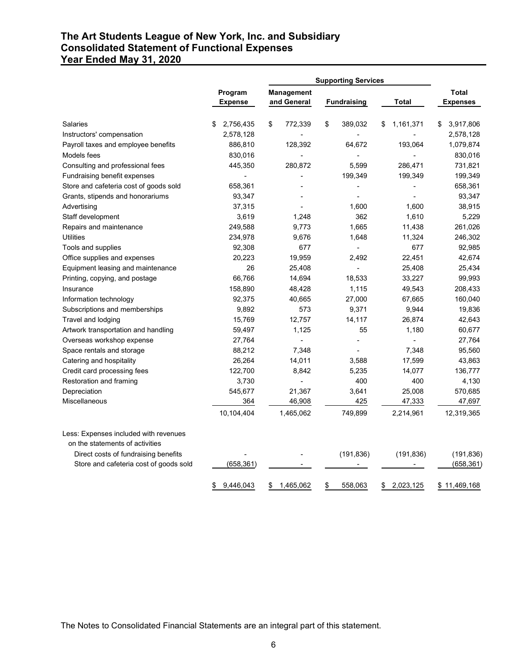# The Art Students League of New York, Inc. and Subsidiary Consolidated Statement of Functional Expenses Year Ended May 31, 2020

|                                                                                                                                                            |                           | <b>Consolidated Statement of Functional Expenses</b> |                            |                          |                          |  |
|------------------------------------------------------------------------------------------------------------------------------------------------------------|---------------------------|------------------------------------------------------|----------------------------|--------------------------|--------------------------|--|
|                                                                                                                                                            |                           |                                                      | <b>Supporting Services</b> |                          |                          |  |
|                                                                                                                                                            | Program<br><b>Expense</b> | Management<br>and General                            | <b>Fundraising</b>         | Total                    | Total<br><b>Expenses</b> |  |
| Salaries                                                                                                                                                   | 2,756,435<br>S.           | 772,339<br>\$                                        | 389,032<br>S               | 1,161,371<br>S.          | \$3,917,806              |  |
| Instructors' compensation                                                                                                                                  | 2,578,128                 | $\overline{\phantom{a}}$                             |                            | $\overline{\phantom{a}}$ | 2,578,128                |  |
| Payroll taxes and employee benefits                                                                                                                        | 886,810                   | 128,392                                              | 64,672                     | 193,064                  | 1,079,874                |  |
| Models fees                                                                                                                                                | 830,016                   |                                                      |                            | $\blacksquare$           | 830,016                  |  |
| Consulting and professional fees                                                                                                                           | 445,350                   | 280,872                                              | 5,599                      | 286,471                  | 731,821                  |  |
| Fundraising benefit expenses                                                                                                                               |                           | ٠                                                    | 199,349                    | 199,349                  | 199,349                  |  |
| Store and cafeteria cost of goods sold                                                                                                                     | 658,361                   | ٠                                                    |                            | $\blacksquare$           | 658,361                  |  |
| Grants, stipends and honorariums                                                                                                                           | 93,347                    | ٠                                                    | $\overline{\phantom{a}}$   | $\blacksquare$           | 93,347                   |  |
| Advertising                                                                                                                                                | 37,315                    | $\overline{\phantom{a}}$                             | 1,600                      | 1,600                    | 38,915                   |  |
| Staff development                                                                                                                                          | 3,619                     | 1,248                                                | 362                        | 1,610                    | 5,229                    |  |
| Repairs and maintenance                                                                                                                                    | 249,588                   | 9,773                                                | 1,665                      | 11,438                   | 261,026                  |  |
| Utilities                                                                                                                                                  | 234,978                   | 9,676                                                | 1,648                      | 11,324                   | 246,302                  |  |
| Tools and supplies                                                                                                                                         | 92,308                    | 677                                                  | $\overline{\phantom{a}}$   | 677                      | 92,985                   |  |
| Office supplies and expenses                                                                                                                               | 20,223                    | 19,959                                               | 2,492                      | 22,451                   | 42,674                   |  |
| Equipment leasing and maintenance                                                                                                                          | 26                        | 25,408                                               |                            | 25,408                   | 25,434                   |  |
| Printing, copying, and postage                                                                                                                             | 66,766                    | 14,694                                               | 18,533                     | 33,227                   | 99,993                   |  |
| Insurance                                                                                                                                                  | 158,890                   | 48,428                                               | 1,115                      | 49,543                   | 208,433                  |  |
| Information technology                                                                                                                                     | 92,375                    | 40,665                                               | 27,000                     | 67,665                   | 160,040                  |  |
| Subscriptions and memberships                                                                                                                              | 9,892                     | 573                                                  | 9,371                      | 9,944                    | 19,836                   |  |
|                                                                                                                                                            |                           | 12,757                                               | 14,117                     |                          |                          |  |
| Travel and lodging                                                                                                                                         | 15,769                    |                                                      |                            | 26,874                   | 42,643                   |  |
| Artwork transportation and handling                                                                                                                        | 59,497                    | 1,125                                                | 55                         | 1,180                    | 60,677                   |  |
| Overseas workshop expense                                                                                                                                  | 27,764                    | $\overline{\phantom{a}}$                             |                            |                          | 27,764                   |  |
| Space rentals and storage                                                                                                                                  | 88,212                    | 7,348                                                | $\overline{\phantom{a}}$   | 7,348                    | 95,560                   |  |
| Catering and hospitality                                                                                                                                   | 26,264                    | 14,011                                               | 3,588                      | 17,599                   | 43,863                   |  |
| Credit card processing fees                                                                                                                                | 122,700                   | 8,842                                                | 5,235                      | 14,077                   | 136,777                  |  |
| Restoration and framing                                                                                                                                    | 3,730                     | $\overline{\phantom{a}}$                             | 400                        | 400                      | 4,130                    |  |
| Depreciation                                                                                                                                               | 545,677                   | 21,367                                               | 3,641                      | 25,008                   | 570,685                  |  |
| Miscellaneous                                                                                                                                              | 364<br>10,104,404         | 46,908<br>1,465,062                                  | 425<br>749,899             | 47,333<br>2,214,961      | 47,697<br>12,319,365     |  |
| Less: Expenses included with revenues<br>on the statements of activities<br>Direct costs of fundraising benefits<br>Store and cafeteria cost of goods sold | (658, 361)                |                                                      | (191, 836)                 | (191, 836)               | (191, 836)<br>(658, 361) |  |
|                                                                                                                                                            | \$9,446,043               | \$1,465,062                                          | 558,063<br>\$              | \$2,023,125              | \$11,469,168             |  |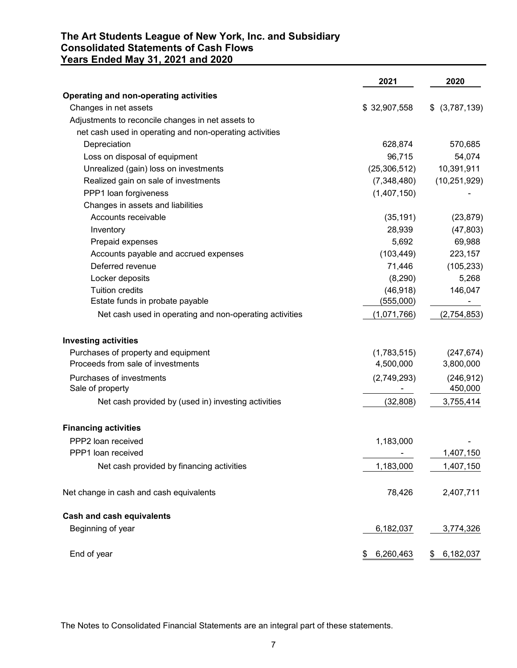# The Art Students League of New York, Inc. and Subsidiary Consolidated Statements of Cash Flows Years Ended May 31, 2021 and 2020

| <b>Years Ended May 31, 2021 and 2020</b>                |                |                |
|---------------------------------------------------------|----------------|----------------|
|                                                         | 2021           | 2020           |
|                                                         |                |                |
| Operating and non-operating activities                  |                |                |
| Changes in net assets                                   | \$32,907,558   | \$ (3,787,139) |
| Adjustments to reconcile changes in net assets to       |                |                |
| net cash used in operating and non-operating activities |                |                |
| Depreciation                                            | 628,874        | 570,685        |
| Loss on disposal of equipment                           | 96,715         | 54,074         |
| Unrealized (gain) loss on investments                   | (25, 306, 512) | 10,391,911     |
| Realized gain on sale of investments                    | (7,348,480)    | (10, 251, 929) |
| PPP1 loan forgiveness                                   | (1,407,150)    |                |
| Changes in assets and liabilities                       |                |                |
| Accounts receivable                                     | (35, 191)      | (23, 879)      |
| Inventory                                               | 28,939         | (47, 803)      |
| Prepaid expenses                                        | 5,692          | 69,988         |
| Accounts payable and accrued expenses                   | (103, 449)     | 223,157        |
| Deferred revenue                                        | 71,446         | (105, 233)     |
| Locker deposits                                         | (8,290)        | 5,268          |
| <b>Tuition credits</b>                                  | (46, 918)      | 146,047        |
| Estate funds in probate payable                         | (555,000)      |                |
| Net cash used in operating and non-operating activities | (1,071,766)    | (2,754,853)    |
| <b>Investing activities</b>                             |                |                |
| Purchases of property and equipment                     | (1,783,515)    | (247, 674)     |
| Proceeds from sale of investments                       | 4,500,000      | 3,800,000      |
| Purchases of investments                                | (2,749,293)    | (246, 912)     |
| Sale of property                                        |                | 450,000        |
| Net cash provided by (used in) investing activities     | (32, 808)      | 3,755,414      |
| <b>Financing activities</b>                             |                |                |
| PPP2 loan received                                      | 1,183,000      |                |
| PPP1 loan received                                      | $\blacksquare$ | 1,407,150      |
| Net cash provided by financing activities               | 1,183,000      | 1,407,150      |
| Net change in cash and cash equivalents                 | 78,426         | 2,407,711      |
| <b>Cash and cash equivalents</b>                        |                |                |
| Beginning of year                                       | 6,182,037      | 3,774,326      |
| End of year                                             | \$6,260,463    | \$6,182,037    |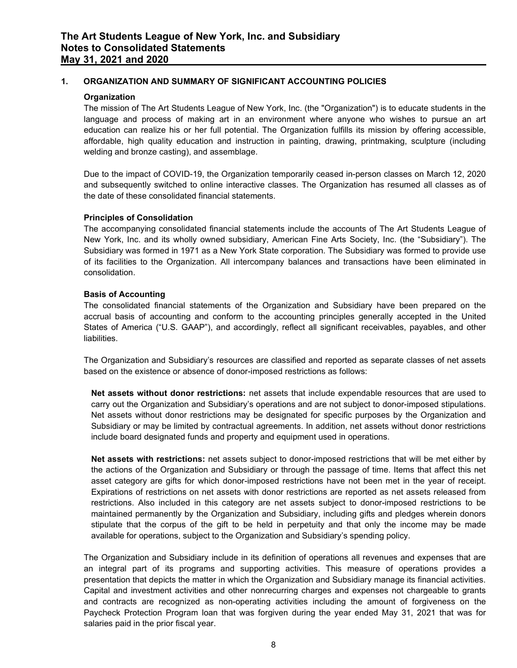### 1. ORGANIZATION AND SUMMARY OF SIGNIFICANT ACCOUNTING POLICIES

#### **Organization**

The mission of The Art Students League of New York, Inc. (the "Organization") is to educate students in the language and process of making art in an environment where anyone who wishes to pursue an art education can realize his or her full potential. The Organization fulfills its mission by offering accessible, affordable, high quality education and instruction in painting, drawing, printmaking, sculpture (including welding and bronze casting), and assemblage.

Due to the impact of COVID-19, the Organization temporarily ceased in-person classes on March 12, 2020 and subsequently switched to online interactive classes. The Organization has resumed all classes as of the date of these consolidated financial statements.

#### Principles of Consolidation

The accompanying consolidated financial statements include the accounts of The Art Students League of New York, Inc. and its wholly owned subsidiary, American Fine Arts Society, Inc. (the "Subsidiary"). The Subsidiary was formed in 1971 as a New York State corporation. The Subsidiary was formed to provide use of its facilities to the Organization. All intercompany balances and transactions have been eliminated in consolidation.

### Basis of Accounting

The consolidated financial statements of the Organization and Subsidiary have been prepared on the accrual basis of accounting and conform to the accounting principles generally accepted in the United States of America ("U.S. GAAP"), and accordingly, reflect all significant receivables, payables, and other liabilities.

The Organization and Subsidiary's resources are classified and reported as separate classes of net assets based on the existence or absence of donor-imposed restrictions as follows:

Net assets without donor restrictions: net assets that include expendable resources that are used to carry out the Organization and Subsidiary's operations and are not subject to donor-imposed stipulations. Net assets without donor restrictions may be designated for specific purposes by the Organization and Subsidiary or may be limited by contractual agreements. In addition, net assets without donor restrictions include board designated funds and property and equipment used in operations.

Net assets with restrictions: net assets subject to donor-imposed restrictions that will be met either by the actions of the Organization and Subsidiary or through the passage of time. Items that affect this net asset category are gifts for which donor-imposed restrictions have not been met in the year of receipt. Expirations of restrictions on net assets with donor restrictions are reported as net assets released from restrictions. Also included in this category are net assets subject to donor-imposed restrictions to be maintained permanently by the Organization and Subsidiary, including gifts and pledges wherein donors stipulate that the corpus of the gift to be held in perpetuity and that only the income may be made available for operations, subject to the Organization and Subsidiary's spending policy.

The Organization and Subsidiary include in its definition of operations all revenues and expenses that are an integral part of its programs and supporting activities. This measure of operations provides a presentation that depicts the matter in which the Organization and Subsidiary manage its financial activities. Capital and investment activities and other nonrecurring charges and expenses not chargeable to grants and contracts are recognized as non-operating activities including the amount of forgiveness on the Paycheck Protection Program loan that was forgiven during the year ended May 31, 2021 that was for salaries paid in the prior fiscal year.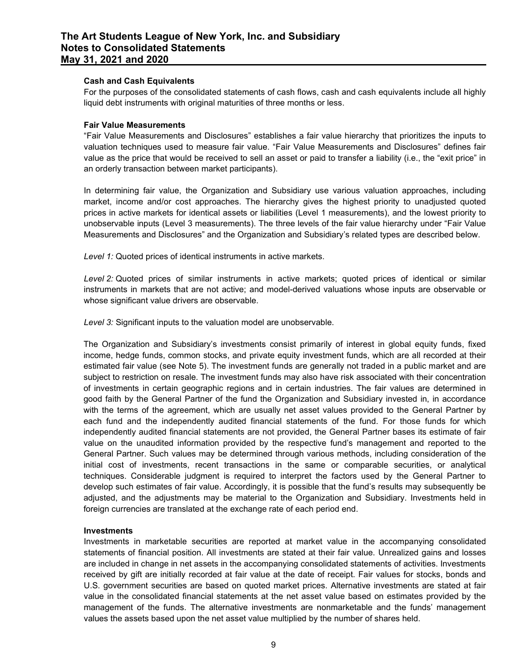#### Cash and Cash Equivalents

For the purposes of the consolidated statements of cash flows, cash and cash equivalents include all highly liquid debt instruments with original maturities of three months or less.

### Fair Value Measurements

"Fair Value Measurements and Disclosures" establishes a fair value hierarchy that prioritizes the inputs to valuation techniques used to measure fair value. "Fair Value Measurements and Disclosures" defines fair value as the price that would be received to sell an asset or paid to transfer a liability (i.e., the "exit price" in an orderly transaction between market participants).

In determining fair value, the Organization and Subsidiary use various valuation approaches, including market, income and/or cost approaches. The hierarchy gives the highest priority to unadjusted quoted prices in active markets for identical assets or liabilities (Level 1 measurements), and the lowest priority to unobservable inputs (Level 3 measurements). The three levels of the fair value hierarchy under "Fair Value Measurements and Disclosures" and the Organization and Subsidiary's related types are described below.

Level 1: Quoted prices of identical instruments in active markets.

Level 2: Quoted prices of similar instruments in active markets; quoted prices of identical or similar instruments in markets that are not active; and model-derived valuations whose inputs are observable or whose significant value drivers are observable.

Level 3: Significant inputs to the valuation model are unobservable.

The Organization and Subsidiary's investments consist primarily of interest in global equity funds, fixed income, hedge funds, common stocks, and private equity investment funds, which are all recorded at their estimated fair value (see Note 5). The investment funds are generally not traded in a public market and are subject to restriction on resale. The investment funds may also have risk associated with their concentration of investments in certain geographic regions and in certain industries. The fair values are determined in good faith by the General Partner of the fund the Organization and Subsidiary invested in, in accordance with the terms of the agreement, which are usually net asset values provided to the General Partner by each fund and the independently audited financial statements of the fund. For those funds for which independently audited financial statements are not provided, the General Partner bases its estimate of fair value on the unaudited information provided by the respective fund's management and reported to the General Partner. Such values may be determined through various methods, including consideration of the initial cost of investments, recent transactions in the same or comparable securities, or analytical techniques. Considerable judgment is required to interpret the factors used by the General Partner to develop such estimates of fair value. Accordingly, it is possible that the fund's results may subsequently be adjusted, and the adjustments may be material to the Organization and Subsidiary. Investments held in foreign currencies are translated at the exchange rate of each period end.

### Investments

Investments in marketable securities are reported at market value in the accompanying consolidated statements of financial position. All investments are stated at their fair value. Unrealized gains and losses are included in change in net assets in the accompanying consolidated statements of activities. Investments received by gift are initially recorded at fair value at the date of receipt. Fair values for stocks, bonds and U.S. government securities are based on quoted market prices. Alternative investments are stated at fair value in the consolidated financial statements at the net asset value based on estimates provided by the management of the funds. The alternative investments are nonmarketable and the funds' management values the assets based upon the net asset value multiplied by the number of shares held.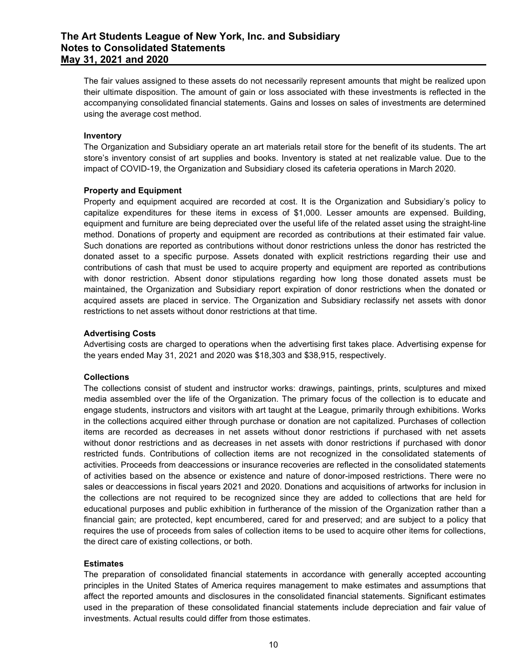The fair values assigned to these assets do not necessarily represent amounts that might be realized upon their ultimate disposition. The amount of gain or loss associated with these investments is reflected in the accompanying consolidated financial statements. Gains and losses on sales of investments are determined using the average cost method.

#### Inventory

The Organization and Subsidiary operate an art materials retail store for the benefit of its students. The art store's inventory consist of art supplies and books. Inventory is stated at net realizable value. Due to the impact of COVID-19, the Organization and Subsidiary closed its cafeteria operations in March 2020.

### Property and Equipment

Property and equipment acquired are recorded at cost. It is the Organization and Subsidiary's policy to capitalize expenditures for these items in excess of \$1,000. Lesser amounts are expensed. Building, equipment and furniture are being depreciated over the useful life of the related asset using the straight-line method. Donations of property and equipment are recorded as contributions at their estimated fair value. Such donations are reported as contributions without donor restrictions unless the donor has restricted the donated asset to a specific purpose. Assets donated with explicit restrictions regarding their use and contributions of cash that must be used to acquire property and equipment are reported as contributions with donor restriction. Absent donor stipulations regarding how long those donated assets must be maintained, the Organization and Subsidiary report expiration of donor restrictions when the donated or acquired assets are placed in service. The Organization and Subsidiary reclassify net assets with donor restrictions to net assets without donor restrictions at that time.

### Advertising Costs

Advertising costs are charged to operations when the advertising first takes place. Advertising expense for the years ended May 31, 2021 and 2020 was \$18,303 and \$38,915, respectively.

#### **Collections**

The collections consist of student and instructor works: drawings, paintings, prints, sculptures and mixed media assembled over the life of the Organization. The primary focus of the collection is to educate and engage students, instructors and visitors with art taught at the League, primarily through exhibitions. Works in the collections acquired either through purchase or donation are not capitalized. Purchases of collection items are recorded as decreases in net assets without donor restrictions if purchased with net assets without donor restrictions and as decreases in net assets with donor restrictions if purchased with donor restricted funds. Contributions of collection items are not recognized in the consolidated statements of activities. Proceeds from deaccessions or insurance recoveries are reflected in the consolidated statements of activities based on the absence or existence and nature of donor-imposed restrictions. There were no sales or deaccessions in fiscal years 2021 and 2020. Donations and acquisitions of artworks for inclusion in the collections are not required to be recognized since they are added to collections that are held for educational purposes and public exhibition in furtherance of the mission of the Organization rather than a financial gain; are protected, kept encumbered, cared for and preserved; and are subject to a policy that requires the use of proceeds from sales of collection items to be used to acquire other items for collections, the direct care of existing collections, or both.

#### **Estimates**

The preparation of consolidated financial statements in accordance with generally accepted accounting principles in the United States of America requires management to make estimates and assumptions that affect the reported amounts and disclosures in the consolidated financial statements. Significant estimates used in the preparation of these consolidated financial statements include depreciation and fair value of investments. Actual results could differ from those estimates.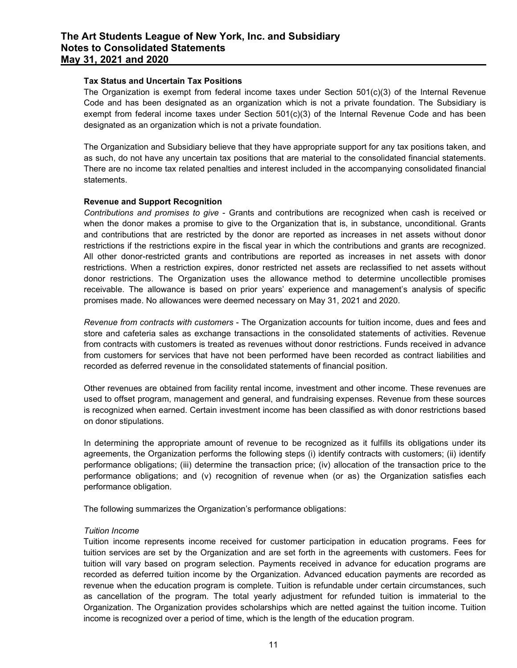### Tax Status and Uncertain Tax Positions

The Organization is exempt from federal income taxes under Section 501(c)(3) of the Internal Revenue Code and has been designated as an organization which is not a private foundation. The Subsidiary is exempt from federal income taxes under Section 501(c)(3) of the Internal Revenue Code and has been designated as an organization which is not a private foundation.

The Organization and Subsidiary believe that they have appropriate support for any tax positions taken, and as such, do not have any uncertain tax positions that are material to the consolidated financial statements. There are no income tax related penalties and interest included in the accompanying consolidated financial statements.

### Revenue and Support Recognition

Contributions and promises to give - Grants and contributions are recognized when cash is received or when the donor makes a promise to give to the Organization that is, in substance, unconditional. Grants and contributions that are restricted by the donor are reported as increases in net assets without donor restrictions if the restrictions expire in the fiscal year in which the contributions and grants are recognized. All other donor-restricted grants and contributions are reported as increases in net assets with donor restrictions. When a restriction expires, donor restricted net assets are reclassified to net assets without donor restrictions. The Organization uses the allowance method to determine uncollectible promises receivable. The allowance is based on prior years' experience and management's analysis of specific promises made. No allowances were deemed necessary on May 31, 2021 and 2020.

Revenue from contracts with customers - The Organization accounts for tuition income, dues and fees and store and cafeteria sales as exchange transactions in the consolidated statements of activities. Revenue from contracts with customers is treated as revenues without donor restrictions. Funds received in advance from customers for services that have not been performed have been recorded as contract liabilities and recorded as deferred revenue in the consolidated statements of financial position.

Other revenues are obtained from facility rental income, investment and other income. These revenues are used to offset program, management and general, and fundraising expenses. Revenue from these sources is recognized when earned. Certain investment income has been classified as with donor restrictions based on donor stipulations.

In determining the appropriate amount of revenue to be recognized as it fulfills its obligations under its agreements, the Organization performs the following steps (i) identify contracts with customers; (ii) identify performance obligations; (iii) determine the transaction price; (iv) allocation of the transaction price to the performance obligations; and (v) recognition of revenue when (or as) the Organization satisfies each performance obligation.

The following summarizes the Organization's performance obligations:

#### Tuition Income

Tuition income represents income received for customer participation in education programs. Fees for tuition services are set by the Organization and are set forth in the agreements with customers. Fees for tuition will vary based on program selection. Payments received in advance for education programs are recorded as deferred tuition income by the Organization. Advanced education payments are recorded as revenue when the education program is complete. Tuition is refundable under certain circumstances, such as cancellation of the program. The total yearly adjustment for refunded tuition is immaterial to the Organization. The Organization provides scholarships which are netted against the tuition income. Tuition income is recognized over a period of time, which is the length of the education program.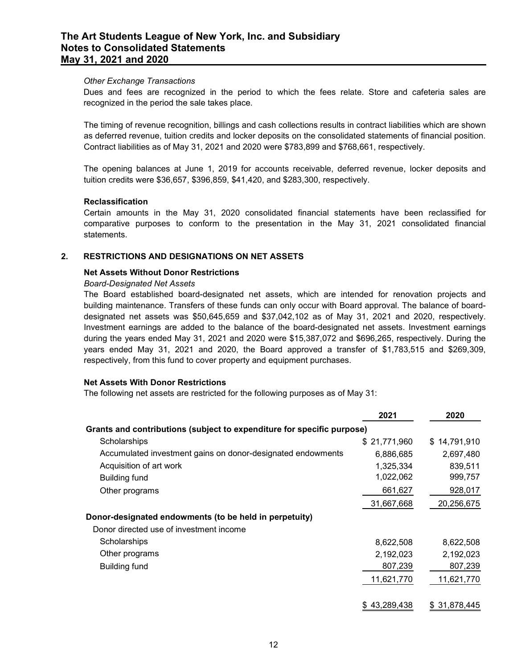#### Other Exchange Transactions

Dues and fees are recognized in the period to which the fees relate. Store and cafeteria sales are recognized in the period the sale takes place.

The timing of revenue recognition, billings and cash collections results in contract liabilities which are shown as deferred revenue, tuition credits and locker deposits on the consolidated statements of financial position. Contract liabilities as of May 31, 2021 and 2020 were \$783,899 and \$768,661, respectively.

The opening balances at June 1, 2019 for accounts receivable, deferred revenue, locker deposits and tuition credits were \$36,657, \$396,859, \$41,420, and \$283,300, respectively.

#### Reclassification

Certain amounts in the May 31, 2020 consolidated financial statements have been reclassified for comparative purposes to conform to the presentation in the May 31, 2021 consolidated financial statements.

#### 2. RESTRICTIONS AND DESIGNATIONS ON NET ASSETS

#### Net Assets Without Donor Restrictions

#### Board-Designated Net Assets

The Board established board-designated net assets, which are intended for renovation projects and building maintenance. Transfers of these funds can only occur with Board approval. The balance of boarddesignated net assets was \$50,645,659 and \$37,042,102 as of May 31, 2021 and 2020, respectively. Investment earnings are added to the balance of the board-designated net assets. Investment earnings during the years ended May 31, 2021 and 2020 were \$15,387,072 and \$696,265, respectively. During the years ended May 31, 2021 and 2020, the Board approved a transfer of \$1,783,515 and \$269,309, respectively, from this fund to cover property and equipment purchases.

### Net Assets With Donor Restrictions

The following net assets are restricted for the following purposes as of May 31:

|                                                                        | 2021         | 2020         |  |
|------------------------------------------------------------------------|--------------|--------------|--|
| Grants and contributions (subject to expenditure for specific purpose) |              |              |  |
| Scholarships                                                           | \$21,771,960 | \$14,791,910 |  |
| Accumulated investment gains on donor-designated endowments            | 6,886,685    | 2,697,480    |  |
| Acquisition of art work                                                | 1,325,334    | 839,511      |  |
| Building fund                                                          | 1,022,062    | 999,757      |  |
| Other programs                                                         | 661,627      | 928,017      |  |
|                                                                        | 31,667,668   | 20,256,675   |  |
| Donor-designated endowments (to be held in perpetuity)                 |              |              |  |
| Donor directed use of investment income                                |              |              |  |
| Scholarships                                                           | 8,622,508    | 8,622,508    |  |
| Other programs                                                         | 2,192,023    | 2,192,023    |  |
| <b>Building fund</b>                                                   | 807,239      | 807,239      |  |
|                                                                        | 11,621,770   | 11,621,770   |  |
|                                                                        | \$43,289,438 | \$31,878,445 |  |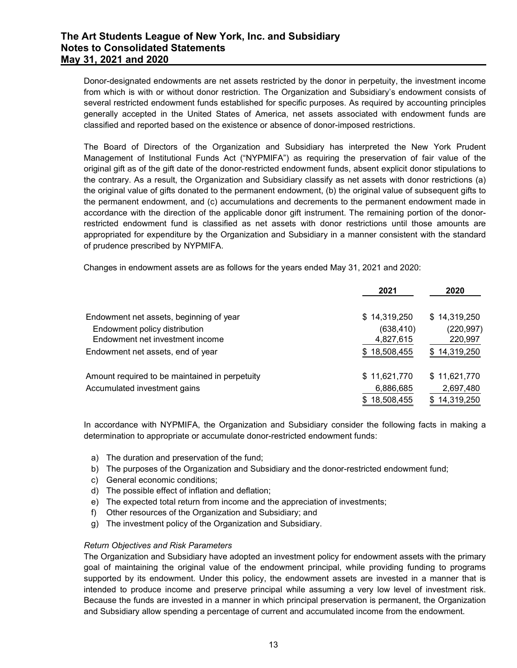Donor-designated endowments are net assets restricted by the donor in perpetuity, the investment income from which is with or without donor restriction. The Organization and Subsidiary's endowment consists of several restricted endowment funds established for specific purposes. As required by accounting principles generally accepted in the United States of America, net assets associated with endowment funds are classified and reported based on the existence or absence of donor-imposed restrictions.

| generally accepted in the United States of America, net assets associated with endowment funds are<br>classified and reported based on the existence or absence of donor-imposed restrictions.                                                                                                                                                                                                                                                                                                                                                                                                                                                                                                                                                                                                                                                                                                                                                                                                      |                           |                           |
|-----------------------------------------------------------------------------------------------------------------------------------------------------------------------------------------------------------------------------------------------------------------------------------------------------------------------------------------------------------------------------------------------------------------------------------------------------------------------------------------------------------------------------------------------------------------------------------------------------------------------------------------------------------------------------------------------------------------------------------------------------------------------------------------------------------------------------------------------------------------------------------------------------------------------------------------------------------------------------------------------------|---------------------------|---------------------------|
| The Board of Directors of the Organization and Subsidiary has interpreted the New York Prudent<br>Management of Institutional Funds Act ("NYPMIFA") as requiring the preservation of fair value of the<br>original gift as of the gift date of the donor-restricted endowment funds, absent explicit donor stipulations to<br>the contrary. As a result, the Organization and Subsidiary classify as net assets with donor restrictions (a)<br>the original value of gifts donated to the permanent endowment, (b) the original value of subsequent gifts to<br>the permanent endowment, and (c) accumulations and decrements to the permanent endowment made in<br>accordance with the direction of the applicable donor gift instrument. The remaining portion of the donor-<br>restricted endowment fund is classified as net assets with donor restrictions until those amounts are<br>appropriated for expenditure by the Organization and Subsidiary in a manner consistent with the standard |                           |                           |
|                                                                                                                                                                                                                                                                                                                                                                                                                                                                                                                                                                                                                                                                                                                                                                                                                                                                                                                                                                                                     |                           |                           |
| of prudence prescribed by NYPMIFA.<br>Changes in endowment assets are as follows for the years ended May 31, 2021 and 2020:                                                                                                                                                                                                                                                                                                                                                                                                                                                                                                                                                                                                                                                                                                                                                                                                                                                                         |                           |                           |
|                                                                                                                                                                                                                                                                                                                                                                                                                                                                                                                                                                                                                                                                                                                                                                                                                                                                                                                                                                                                     | 2021                      | 2020                      |
| Endowment net assets, beginning of year                                                                                                                                                                                                                                                                                                                                                                                                                                                                                                                                                                                                                                                                                                                                                                                                                                                                                                                                                             | \$14,319,250              | \$14,319,250              |
| Endowment policy distribution                                                                                                                                                                                                                                                                                                                                                                                                                                                                                                                                                                                                                                                                                                                                                                                                                                                                                                                                                                       | (638, 410)                | (220, 997)                |
| Endowment net investment income<br>Endowment net assets, end of year                                                                                                                                                                                                                                                                                                                                                                                                                                                                                                                                                                                                                                                                                                                                                                                                                                                                                                                                | 4,827,615<br>\$18,508,455 | 220,997<br>\$14,319,250   |
| Amount required to be maintained in perpetuity                                                                                                                                                                                                                                                                                                                                                                                                                                                                                                                                                                                                                                                                                                                                                                                                                                                                                                                                                      | \$11,621,770              | \$11,621,770              |
| Accumulated investment gains                                                                                                                                                                                                                                                                                                                                                                                                                                                                                                                                                                                                                                                                                                                                                                                                                                                                                                                                                                        | 6,886,685<br>\$18,508,455 | 2,697,480<br>\$14,319,250 |

- a) The duration and preservation of the fund;
- b) The purposes of the Organization and Subsidiary and the donor-restricted endowment fund;
- c) General economic conditions;
- d) The possible effect of inflation and deflation;
- e) The expected total return from income and the appreciation of investments;
- f) Other resources of the Organization and Subsidiary; and
- g) The investment policy of the Organization and Subsidiary.

#### Return Objectives and Risk Parameters

The Organization and Subsidiary have adopted an investment policy for endowment assets with the primary goal of maintaining the original value of the endowment principal, while providing funding to programs supported by its endowment. Under this policy, the endowment assets are invested in a manner that is intended to produce income and preserve principal while assuming a very low level of investment risk. Because the funds are invested in a manner in which principal preservation is permanent, the Organization and Subsidiary allow spending a percentage of current and accumulated income from the endowment.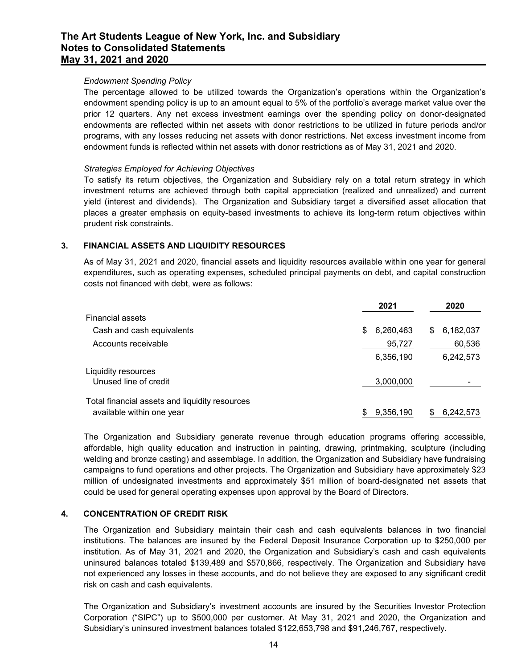### Endowment Spending Policy

The percentage allowed to be utilized towards the Organization's operations within the Organization's endowment spending policy is up to an amount equal to 5% of the portfolio's average market value over the prior 12 quarters. Any net excess investment earnings over the spending policy on donor-designated endowments are reflected within net assets with donor restrictions to be utilized in future periods and/or programs, with any losses reducing net assets with donor restrictions. Net excess investment income from endowment funds is reflected within net assets with donor restrictions as of May 31, 2021 and 2020.

### Strategies Employed for Achieving Objectives

## 3. FINANCIAL ASSETS AND LIQUIDITY RESOURCES

| orior 12 quarters. Any net excess investment earnings over the spending policy on donor-designated<br>endowments are reflected within net assets with donor restrictions to be utilized in future periods and/or<br>programs, with any losses reducing net assets with donor restrictions. Net excess investment income from                                                                                                                                                                                                      |   |           |    |           |
|-----------------------------------------------------------------------------------------------------------------------------------------------------------------------------------------------------------------------------------------------------------------------------------------------------------------------------------------------------------------------------------------------------------------------------------------------------------------------------------------------------------------------------------|---|-----------|----|-----------|
| endowment funds is reflected within net assets with donor restrictions as of May 31, 2021 and 2020.                                                                                                                                                                                                                                                                                                                                                                                                                               |   |           |    |           |
| <b>Strategies Employed for Achieving Objectives</b><br>To satisfy its return objectives, the Organization and Subsidiary rely on a total return strategy in which<br>nvestment returns are achieved through both capital appreciation (realized and unrealized) and current<br>yield (interest and dividends). The Organization and Subsidiary target a diversified asset allocation that<br>blaces a greater emphasis on equity-based investments to achieve its long-term return objectives within<br>prudent risk constraints. |   |           |    |           |
| FINANCIAL ASSETS AND LIQUIDITY RESOURCES                                                                                                                                                                                                                                                                                                                                                                                                                                                                                          |   |           |    |           |
| As of May 31, 2021 and 2020, financial assets and liquidity resources available within one year for general<br>expenditures, such as operating expenses, scheduled principal payments on debt, and capital construction<br>costs not financed with debt, were as follows:                                                                                                                                                                                                                                                         |   |           |    |           |
|                                                                                                                                                                                                                                                                                                                                                                                                                                                                                                                                   |   | 2021      |    | 2020      |
| <b>Financial assets</b>                                                                                                                                                                                                                                                                                                                                                                                                                                                                                                           |   |           |    |           |
| Cash and cash equivalents                                                                                                                                                                                                                                                                                                                                                                                                                                                                                                         | S | 6,260,463 | S. | 6,182,037 |
| Accounts receivable                                                                                                                                                                                                                                                                                                                                                                                                                                                                                                               |   | 95,727    |    | 60,536    |
|                                                                                                                                                                                                                                                                                                                                                                                                                                                                                                                                   |   | 6,356,190 |    | 6,242,573 |
| Liquidity resources<br>Unused line of credit                                                                                                                                                                                                                                                                                                                                                                                                                                                                                      |   | 3,000,000 |    |           |
| Total financial assets and liquidity resources                                                                                                                                                                                                                                                                                                                                                                                                                                                                                    |   |           |    |           |
| available within one year                                                                                                                                                                                                                                                                                                                                                                                                                                                                                                         |   |           |    |           |
|                                                                                                                                                                                                                                                                                                                                                                                                                                                                                                                                   |   | 9,356,190 | S. | 6,242,573 |

The Organization and Subsidiary generate revenue through education programs offering accessible, affordable, high quality education and instruction in painting, drawing, printmaking, sculpture (including welding and bronze casting) and assemblage. In addition, the Organization and Subsidiary have fundraising campaigns to fund operations and other projects. The Organization and Subsidiary have approximately \$23 million of undesignated investments and approximately \$51 million of board-designated net assets that could be used for general operating expenses upon approval by the Board of Directors.

### 4. CONCENTRATION OF CREDIT RISK

The Organization and Subsidiary maintain their cash and cash equivalents balances in two financial institutions. The balances are insured by the Federal Deposit Insurance Corporation up to \$250,000 per institution. As of May 31, 2021 and 2020, the Organization and Subsidiary's cash and cash equivalents uninsured balances totaled \$139,489 and \$570,866, respectively. The Organization and Subsidiary have not experienced any losses in these accounts, and do not believe they are exposed to any significant credit risk on cash and cash equivalents.

The Organization and Subsidiary's investment accounts are insured by the Securities Investor Protection Corporation ("SIPC") up to \$500,000 per customer. At May 31, 2021 and 2020, the Organization and Subsidiary's uninsured investment balances totaled \$122,653,798 and \$91,246,767, respectively.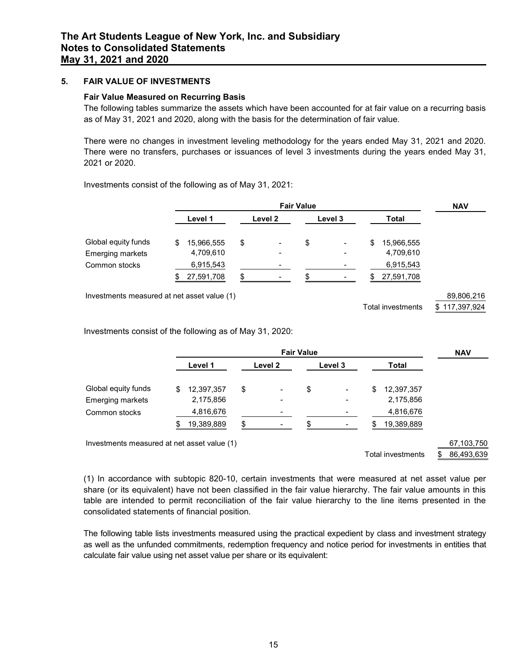### 5. FAIR VALUE OF INVESTMENTS

#### Fair Value Measured on Recurring Basis

| <b>FAIR VALUE OF INVESTMENTS</b>                                                                                                                                                                                                                      |                                      |                    |                   |                                        |                             |
|-------------------------------------------------------------------------------------------------------------------------------------------------------------------------------------------------------------------------------------------------------|--------------------------------------|--------------------|-------------------|----------------------------------------|-----------------------------|
| <b>Fair Value Measured on Recurring Basis</b><br>The following tables summarize the assets which have been accounted for at fair value on a recurring basis<br>as of May 31, 2021 and 2020, along with the basis for the determination of fair value. |                                      |                    |                   |                                        |                             |
| There were no changes in investment leveling methodology for the years ended May 31, 2021 and 2020.<br>There were no transfers, purchases or issuances of level 3 investments during the years ended May 31,<br>2021 or 2020.                         |                                      |                    |                   |                                        |                             |
| Investments consist of the following as of May 31, 2021:                                                                                                                                                                                              |                                      |                    | <b>Fair Value</b> |                                        | <b>NAV</b>                  |
|                                                                                                                                                                                                                                                       | Level 1                              | Level <sub>2</sub> | Level 3           | <b>Total</b>                           |                             |
| Global equity funds<br><b>Emerging markets</b><br>Common stocks                                                                                                                                                                                       | 15,966,555<br>4,709,610<br>6,915,543 | \$                 |                   | 15,966,555<br>4,709,610<br>6,915,543   |                             |
| Investments measured at net asset value (1)                                                                                                                                                                                                           | 27,591,708                           | \$                 |                   | 27,591,708<br><b>Total investments</b> | 89,806,216<br>\$117,397,924 |
| Investments consist of the following as of May 31, 2020:                                                                                                                                                                                              |                                      |                    |                   |                                        |                             |
|                                                                                                                                                                                                                                                       |                                      |                    | <b>Fair Value</b> |                                        | <b>NAV</b>                  |
|                                                                                                                                                                                                                                                       |                                      |                    |                   |                                        |                             |

| Global equity funds                                                                                            | 15,966,555   | \$  |         | \$                |                          | 15,966,555<br>\$  |                   |
|----------------------------------------------------------------------------------------------------------------|--------------|-----|---------|-------------------|--------------------------|-------------------|-------------------|
| Emerging markets                                                                                               | 4,709,610    |     |         |                   |                          | 4,709,610         |                   |
| Common stocks                                                                                                  | 6,915,543    |     |         |                   |                          | 6,915,543         |                   |
|                                                                                                                | 27,591,708   | \$  |         | S                 | $\overline{\phantom{a}}$ | 27,591,708<br>\$  |                   |
| Investments measured at net asset value (1)                                                                    |              |     |         |                   |                          |                   | 89,806,216        |
|                                                                                                                |              |     |         |                   |                          | Total investments | \$117,397,924     |
|                                                                                                                |              |     |         |                   |                          |                   |                   |
| Investments consist of the following as of May 31, 2020:                                                       |              |     |         |                   |                          |                   |                   |
|                                                                                                                |              |     |         | <b>Fair Value</b> |                          |                   | <b>NAV</b>        |
|                                                                                                                | Level 1      |     | Level 2 |                   | Level 3                  | <b>Total</b>      |                   |
| Global equity funds                                                                                            | \$12,397,357 | \$  |         | S.                |                          | 12,397,357        |                   |
| Emerging markets                                                                                               | 2,175,856    |     |         |                   |                          | 2,175,856         |                   |
| Common stocks                                                                                                  | 4,816,676    |     |         |                   |                          | 4,816,676         |                   |
|                                                                                                                | 19,389,889   | \$. |         | \$                |                          | 19,389,889        |                   |
| Investments measured at net asset value (1)                                                                    |              |     |         |                   |                          |                   | 67,103,750        |
|                                                                                                                |              |     |         |                   |                          | Total investments | 86,493,639<br>\$. |
|                                                                                                                |              |     |         |                   |                          |                   |                   |
| (1) In accordance with subtopic 820-10, certain investments that were measured at net asset value per          |              |     |         |                   |                          |                   |                   |
| share (or its equivalent) have not been classified in the fair value hierarchy. The fair value amounts in this |              |     |         |                   |                          |                   |                   |
| table are intended to permit reconciliation of the fair value hierarchy to the line items presented in the     |              |     |         |                   |                          |                   |                   |
|                                                                                                                |              |     |         |                   |                          |                   |                   |

(1) In accordance with subtopic 820-10, certain investments that were measured at net asset value per share (or its equivalent) have not been classified in the fair value hierarchy. The fair value amounts in this table are intended to permit reconciliation of the fair value hierarchy to the line items presented in the consolidated statements of financial position.

The following table lists investments measured using the practical expedient by class and investment strategy as well as the unfunded commitments, redemption frequency and notice period for investments in entities that calculate fair value using net asset value per share or its equivalent: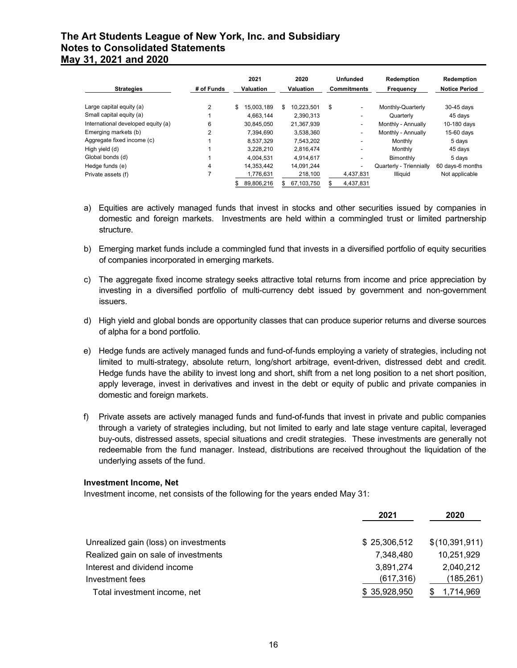| Art Students League of New York, Inc. and Subsidiary |                |              |                          |                              |                         |                      |
|------------------------------------------------------|----------------|--------------|--------------------------|------------------------------|-------------------------|----------------------|
|                                                      |                |              |                          |                              |                         |                      |
| <b>is to Consolidated Statements</b>                 |                |              |                          |                              |                         |                      |
|                                                      |                |              |                          |                              |                         |                      |
| 31, 2021 and 2020                                    |                |              |                          |                              |                         |                      |
|                                                      |                |              |                          |                              |                         |                      |
|                                                      |                | 2021         | 2020                     | <b>Unfunded</b>              | Redemption              | Redemption           |
|                                                      |                |              |                          |                              |                         |                      |
|                                                      |                |              |                          |                              |                         |                      |
| <b>Strategies</b>                                    | # of Funds     | Valuation    | Valuation                | <b>Commitments</b>           | Frequency               | <b>Notice Period</b> |
|                                                      |                |              |                          |                              |                         |                      |
| Large capital equity (a)                             | $\overline{2}$ | \$15,003,189 | 10,223,501 \$<br>\$      | $\overline{\phantom{a}}$     | Monthly-Quarterly       | 30-45 days           |
| Small capital equity (a)                             |                | 4,663,144    |                          | $\overline{\phantom{a}}$     |                         |                      |
|                                                      |                |              | 2,390,313                |                              | Quarterly               | 45 days              |
| International developed equity (a)                   | 6              | 30,845,050   | 21,367,939               | $\overline{\phantom{a}}$     | Monthly - Annually      | 10-180 days          |
| Emerging markets (b)                                 | $\overline{2}$ | 7,394,690    | 3,538,360                |                              | Monthly - Annually      | 15-60 days           |
| Aggregate fixed income (c)                           |                | 8,537,329    | 7,543,202                | $\overline{\phantom{a}}$     | Monthly                 | 5 days               |
| High yield (d)                                       |                | 3,228,210    | 2,816,474                | $\overline{\phantom{a}}$     | Monthly                 | 45 days              |
| Global bonds (d)                                     |                | 4,004,531    | 4,914,617                | $\overline{\phantom{a}}$     | Bimonthly               | 5 days               |
| Hedge funds (e)                                      | Δ              | 14,353,442   | 14,091,244               | $\overline{\phantom{a}}$     | Quarterly - Triennially | 60 days-6 months     |
|                                                      | $\overline{7}$ | 1,776,631    |                          |                              | <b>Illiquid</b>         | Not applicable       |
| Private assets (f)                                   |                | 89,806,216   | 218,100<br>\$ 67,103,750 | 4,437,831<br>4,437,831<br>\$ |                         |                      |

- a) Equities are actively managed funds that invest in stocks and other securities issued by companies in domestic and foreign markets. Investments are held within a commingled trust or limited partnership structure.
- b) Emerging market funds include a commingled fund that invests in a diversified portfolio of equity securities of companies incorporated in emerging markets.
- c) The aggregate fixed income strategy seeks attractive total returns from income and price appreciation by investing in a diversified portfolio of multi-currency debt issued by government and non-government issuers.
- d) High yield and global bonds are opportunity classes that can produce superior returns and diverse sources of alpha for a bond portfolio.
- e) Hedge funds are actively managed funds and fund-of-funds employing a variety of strategies, including not limited to multi-strategy, absolute return, long/short arbitrage, event-driven, distressed debt and credit. Hedge funds have the ability to invest long and short, shift from a net long position to a net short position, apply leverage, invest in derivatives and invest in the debt or equity of public and private companies in domestic and foreign markets.
- f) Private assets are actively managed funds and fund-of-funds that invest in private and public companies through a variety of strategies including, but not limited to early and late stage venture capital, leveraged buy-outs, distressed assets, special situations and credit strategies. These investments are generally not redeemable from the fund manager. Instead, distributions are received throughout the liquidation of the underlying assets of the fund.

#### Investment Income, Net

|     | u) Thigh yiciu anu gibbai bonus are opportunity classes that can proudee superior returns and urverse sources<br>of alpha for a bond portfolio.                                                                                                                                                                                                                                                                                                                                          |              |                |
|-----|------------------------------------------------------------------------------------------------------------------------------------------------------------------------------------------------------------------------------------------------------------------------------------------------------------------------------------------------------------------------------------------------------------------------------------------------------------------------------------------|--------------|----------------|
| e). | Hedge funds are actively managed funds and fund-of-funds employing a variety of strategies, including not<br>limited to multi-strategy, absolute return, long/short arbitrage, event-driven, distressed debt and credit.<br>Hedge funds have the ability to invest long and short, shift from a net long position to a net short position,<br>apply leverage, invest in derivatives and invest in the debt or equity of public and private companies in<br>domestic and foreign markets. |              |                |
|     | Private assets are actively managed funds and fund-of-funds that invest in private and public companies<br>through a variety of strategies including, but not limited to early and late stage venture capital, leveraged<br>buy-outs, distressed assets, special situations and credit strategies. These investments are generally not                                                                                                                                                   |              |                |
|     | redeemable from the fund manager. Instead, distributions are received throughout the liquidation of the<br>underlying assets of the fund.                                                                                                                                                                                                                                                                                                                                                |              |                |
|     | <b>Investment Income, Net</b><br>Investment income, net consists of the following for the years ended May 31:                                                                                                                                                                                                                                                                                                                                                                            |              |                |
|     |                                                                                                                                                                                                                                                                                                                                                                                                                                                                                          | 2021         | 2020           |
|     | Unrealized gain (loss) on investments                                                                                                                                                                                                                                                                                                                                                                                                                                                    | \$25,306,512 | \$(10,391,911) |
|     | Realized gain on sale of investments                                                                                                                                                                                                                                                                                                                                                                                                                                                     | 7,348,480    | 10,251,929     |
|     | Interest and dividend income                                                                                                                                                                                                                                                                                                                                                                                                                                                             | 3,891,274    | 2,040,212      |
|     | Investment fees                                                                                                                                                                                                                                                                                                                                                                                                                                                                          | (617, 316)   | (185, 261)     |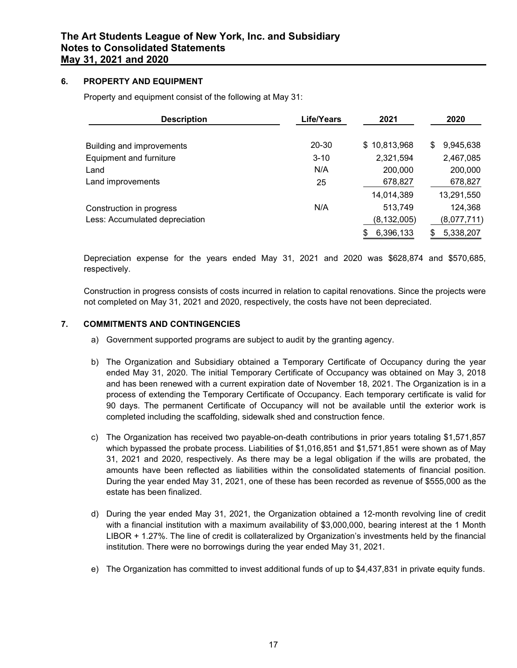### 6. PROPERTY AND EQUIPMENT

| 31, 2021 and 2020<br><b>PROPERTY AND EQUIPMENT</b>         |            |               |                 |  |  |  |
|------------------------------------------------------------|------------|---------------|-----------------|--|--|--|
| Property and equipment consist of the following at May 31: |            |               |                 |  |  |  |
|                                                            |            |               |                 |  |  |  |
| <b>Description</b>                                         | Life/Years | 2021          | 2020            |  |  |  |
|                                                            |            |               |                 |  |  |  |
| Building and improvements                                  | 20-30      | \$10,813,968  | 9,945,638<br>\$ |  |  |  |
| Equipment and furniture                                    | $3 - 10$   | 2,321,594     | 2,467,085       |  |  |  |
| Land                                                       | N/A        | 200,000       | 200,000         |  |  |  |
| Land improvements                                          | 25         | 678,827       | 678,827         |  |  |  |
|                                                            |            | 14,014,389    | 13,291,550      |  |  |  |
|                                                            | N/A        | 513,749       | 124,368         |  |  |  |
| Construction in progress<br>Less: Accumulated depreciation |            | (8, 132, 005) | (8,077,711)     |  |  |  |

Construction in progress consists of costs incurred in relation to capital renovations. Since the projects were not completed on May 31, 2021 and 2020, respectively, the costs have not been depreciated.

### 7. COMMITMENTS AND CONTINGENCIES

- a) Government supported programs are subject to audit by the granting agency.
- b) The Organization and Subsidiary obtained a Temporary Certificate of Occupancy during the year ended May 31, 2020. The initial Temporary Certificate of Occupancy was obtained on May 3, 2018 and has been renewed with a current expiration date of November 18, 2021. The Organization is in a process of extending the Temporary Certificate of Occupancy. Each temporary certificate is valid for 90 days. The permanent Certificate of Occupancy will not be available until the exterior work is completed including the scaffolding, sidewalk shed and construction fence.
- c) The Organization has received two payable-on-death contributions in prior years totaling \$1,571,857 which bypassed the probate process. Liabilities of \$1,016,851 and \$1,571,851 were shown as of May 31, 2021 and 2020, respectively. As there may be a legal obligation if the wills are probated, the amounts have been reflected as liabilities within the consolidated statements of financial position. During the year ended May 31, 2021, one of these has been recorded as revenue of \$555,000 as the estate has been finalized.
- d) During the year ended May 31, 2021, the Organization obtained a 12-month revolving line of credit with a financial institution with a maximum availability of \$3,000,000, bearing interest at the 1 Month LIBOR + 1.27%. The line of credit is collateralized by Organization's investments held by the financial institution. There were no borrowings during the year ended May 31, 2021.
- e) The Organization has committed to invest additional funds of up to \$4,437,831 in private equity funds.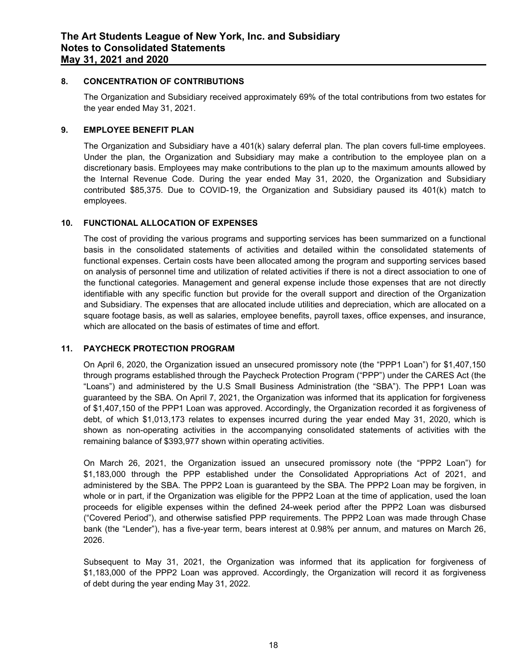### 8. CONCENTRATION OF CONTRIBUTIONS

The Organization and Subsidiary received approximately 69% of the total contributions from two estates for the year ended May 31, 2021.

### 9. EMPLOYEE BENEFIT PLAN

The Organization and Subsidiary have a 401(k) salary deferral plan. The plan covers full-time employees. Under the plan, the Organization and Subsidiary may make a contribution to the employee plan on a discretionary basis. Employees may make contributions to the plan up to the maximum amounts allowed by the Internal Revenue Code. During the year ended May 31, 2020, the Organization and Subsidiary contributed \$85,375. Due to COVID-19, the Organization and Subsidiary paused its 401(k) match to employees.

### 10. FUNCTIONAL ALLOCATION OF EXPENSES

The cost of providing the various programs and supporting services has been summarized on a functional basis in the consolidated statements of activities and detailed within the consolidated statements of functional expenses. Certain costs have been allocated among the program and supporting services based on analysis of personnel time and utilization of related activities if there is not a direct association to one of the functional categories. Management and general expense include those expenses that are not directly identifiable with any specific function but provide for the overall support and direction of the Organization and Subsidiary. The expenses that are allocated include utilities and depreciation, which are allocated on a square footage basis, as well as salaries, employee benefits, payroll taxes, office expenses, and insurance, which are allocated on the basis of estimates of time and effort.

### 11. PAYCHECK PROTECTION PROGRAM

On April 6, 2020, the Organization issued an unsecured promissory note (the "PPP1 Loan") for \$1,407,150 through programs established through the Paycheck Protection Program ("PPP") under the CARES Act (the "Loans") and administered by the U.S Small Business Administration (the "SBA"). The PPP1 Loan was guaranteed by the SBA. On April 7, 2021, the Organization was informed that its application for forgiveness of \$1,407,150 of the PPP1 Loan was approved. Accordingly, the Organization recorded it as forgiveness of debt, of which \$1,013,173 relates to expenses incurred during the year ended May 31, 2020, which is shown as non-operating activities in the accompanying consolidated statements of activities with the remaining balance of \$393,977 shown within operating activities.

On March 26, 2021, the Organization issued an unsecured promissory note (the "PPP2 Loan") for \$1,183,000 through the PPP established under the Consolidated Appropriations Act of 2021, and administered by the SBA. The PPP2 Loan is guaranteed by the SBA. The PPP2 Loan may be forgiven, in whole or in part, if the Organization was eligible for the PPP2 Loan at the time of application, used the loan proceeds for eligible expenses within the defined 24-week period after the PPP2 Loan was disbursed ("Covered Period"), and otherwise satisfied PPP requirements. The PPP2 Loan was made through Chase bank (the "Lender"), has a five-year term, bears interest at 0.98% per annum, and matures on March 26, 2026.

Subsequent to May 31, 2021, the Organization was informed that its application for forgiveness of \$1,183,000 of the PPP2 Loan was approved. Accordingly, the Organization will record it as forgiveness of debt during the year ending May 31, 2022.